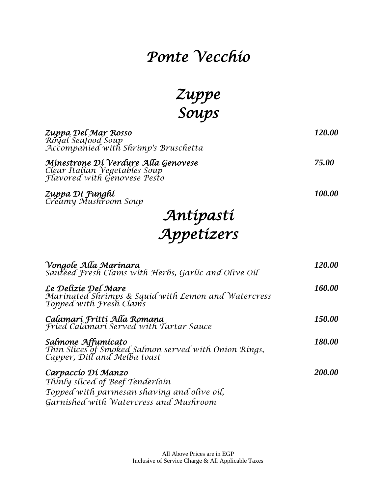### *Ponte Vecchio*

*Zuppe Soups* 

| Zuppa Del Mar Rosso<br>Royal Seafood Soup<br>Accompanied with Shrimp's Bruschetta                                                               | 120.00 |
|-------------------------------------------------------------------------------------------------------------------------------------------------|--------|
| Minestrone Di Verdure Alla Genovese<br>Clear Italian Vegetables Soup<br>Flavored with Genovese Pesto                                            | 75.00  |
| Zuppa Dí Funghí<br>Creamy Mushroom Soup                                                                                                         | 100.00 |
|                                                                                                                                                 |        |
| Antípastí<br>Appetízers                                                                                                                         |        |
| Vongole Alla Marínara<br>Sautéed Fresh Clams with Herbs, Garlic and Olive Oil                                                                   | 120.00 |
| Le Delizie Del Mare<br>Marinated Shrimps & Squid with Lemon and Watercress<br>Topped with Fresh Clams                                           | 160.00 |
| Calamari Fritti Alla Romana<br>Fried Calamari Served with Tartar Sauce                                                                          | 150.00 |
| Salmone Affumícato<br>Thín Slices of Smoked Salmon served with Onion Rings,<br>Capper, Dill and Melba toast                                     | 180.00 |
| Carpaccío Dí Manzo<br>Thinly sliced of Beef Tenderloin<br>Topped with parmesan shaving and olive oil,<br>Garnished with Watercress and Mushroom | 200.00 |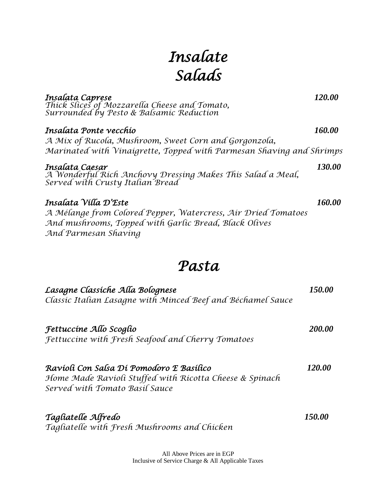# *Insalate Salads*

| Insalata Caprese<br>Thick Slices of Mozzarella Cheese and Tomato,<br>Surrounded by Pesto & Balsamic Reduction                                  | 120.00        |
|------------------------------------------------------------------------------------------------------------------------------------------------|---------------|
| Insalata Ponte vecchío                                                                                                                         | 160.00        |
| A Mix of Rucola, Mushroom, Sweet Corn and Gorgonzola,                                                                                          |               |
| Marinated with Vinaigrette, Topped with Parmesan Shaving and Shrimps                                                                           |               |
| Insalata Caesar<br>A Wonderful Rich Anchovy Dressing Makes This Salad a Meal,<br>Served with Crusty Italian Bread                              | 130.00        |
| Insalata Vílla D'Este                                                                                                                          | 160.00        |
| A Mélange from Colored Pepper, Watercress, Air Dried Tomatoes<br>And mushrooms, Topped with Garlic Bread, Black Olives<br>And Parmesan Shaving |               |
| Pasta                                                                                                                                          |               |
| Lasagne Classíche Alla Bolognese<br>Classic Italian Lasagne with Minced Beef and Béchamel Sauce                                                | 150.00        |
| Fettuccíne Allo Scoglío                                                                                                                        | 200.00        |
| Fettuccine with Fresh Seafood and Cherry Tomatoes                                                                                              |               |
| Ravíolí Con Salsa Dí Pomodoro E Basílíco<br>Home Made Ravioli Stuffed with Ricotta Cheese & Spinach<br>Served with Tomato Basil Sauce          | <i>120.00</i> |
| Tagliatelle Alfredo                                                                                                                            | 150.00        |

*Tagliatelle with Fresh Mushrooms and Chicken*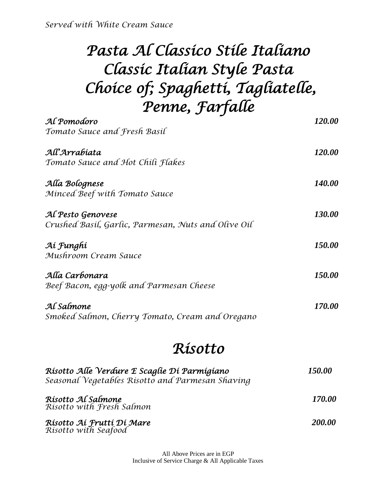*Served with White Cream Sauce*

# *Pasta Al Classico Stile Italiano Classic Italian Style Pasta Choice of; Spaghetti, Tagliatelle, Penne, Farfalle*

| Al Pomodoro                                         | 120.00 |
|-----------------------------------------------------|--------|
| Tomato Sauce and Fresh Basil                        |        |
| All'Arrabíata                                       | 120.00 |
| Tomato Sauce and Hot Chili Flakes                   |        |
| Alla Bolognese                                      | 140.00 |
| Minced Beef with Tomato Sauce                       |        |
| Al Pesto Genovese                                   | 130.00 |
| Crushed Basil, Garlic, Parmesan, Nuts and Olive Oil |        |
| Aí Funghí                                           | 150.00 |
| Mushroom Cream Sauce                                |        |
| Alla Carbonara                                      | 150.00 |
| Beef Bacon, egg-yolk and Parmesan Cheese            |        |
| Al Salmone                                          | 170.00 |
| Smoked Salmon, Cherry Tomato, Cream and Oregano     |        |

#### *Risotto*

| Risotto Alle Verdure E Scaglie Di Parmigiano<br>Seasonal Vegetables Risotto and Parmesan Shaving | <i><b>150.00</b></i> |
|--------------------------------------------------------------------------------------------------|----------------------|
| Rísotto Al Salmone<br>Risotto with Fresh Salmon                                                  | 170.00               |
| Rísotto Aí Fruttí Dí Mare<br>Rísotto with Seafood                                                | 200.00               |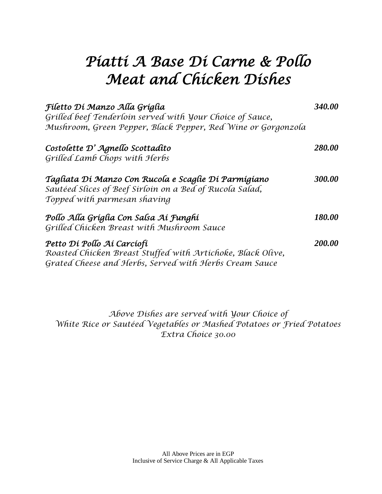### *Piatti A Base Di Carne & Pollo Meat and Chicken Dishes*

| Fíletto Dí Manzo Alla Gríglia<br>Grilled beef Tenderloin served with Your Choice of Sauce,                                                          | 340.00 |
|-----------------------------------------------------------------------------------------------------------------------------------------------------|--------|
| Mushroom, Green Pepper, Black Pepper, Red Wine or Gorgonzola                                                                                        |        |
| Costolette D'Agnello Scottadito<br>Grilled Lamb Chops with Herbs                                                                                    | 280.00 |
| Tagliata Di Manzo Con Rucola e Scaglie Di Parmigiano<br>Sautéed Slices of Beef Sirloin on a Bed of Rucola Salad,<br>Topped with parmesan shaving    | 300.00 |
| Pollo Alla Gríglia Con Salsa Aí Funghí<br>Grilled Chicken Breast with Mushroom Sauce                                                                | 180.00 |
| Petto Dí Pollo Aí Carcíofí<br>Roasted Chicken Breast Stuffed with Artichoke, Black Olive,<br>Grated Cheese and Herbs, Served with Herbs Cream Sauce | 200.00 |

*Above Dishes are served with Your Choice of White Rice or Sautéed Vegetables or Mashed Potatoes or Fried Potatoes Extra Choice 30.00*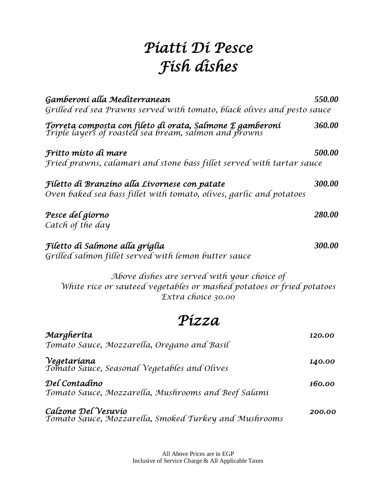# *Piatti Di Pesce Fish dishes*

| Gamberoni alla Mediterranean                                                                                                               | 550.00 |
|--------------------------------------------------------------------------------------------------------------------------------------------|--------|
| Grilled red sea Prawns served with tomato, black olives and pesto sauce                                                                    |        |
| Torreta composta con fíleto dí orata, Salmone E gamberoní<br>Triple layers of roasted sea bream, salmon and prowns                         | 360.00 |
| Frítto místo dí mare                                                                                                                       | 500.00 |
| Fried prawns, calamari and stone bass fillet served with tartar sauce                                                                      |        |
| Fíletto di Branzíno alla Lívornese con patate<br>Oven baked sea bass fillet with tomato, olives, garlic and potatoes                       | 300.00 |
| Pesce del gíorno                                                                                                                           | 280.00 |
| Catch of the day                                                                                                                           |        |
| Fíletto di Salmone alla gríglia<br>Grilled salmon fillet served with lemon butter sauce                                                    | 300.00 |
| Above dishes are served with your choice of<br>White rice or sauteed vegetables or mashed potatoes or fried potatoes<br>Extra choice 30.00 |        |
| Pízza                                                                                                                                      |        |
| Margheríta<br>Tomato Sauce, Mozzarella, Oregano and Basil                                                                                  | 120.00 |
| Vegetaríana<br>Tomato Sauce, Seasonal Vegetables and Olives                                                                                | 140.00 |
| Del Contadino<br>Tomato Sauce, Mozzarella, Mushrooms and Beef Salami                                                                       | 160.00 |
| Calzone Del Vesuvio<br>Tomato Sauce, Mozzarella, Smoked Turkey and Mushrooms                                                               | 200.00 |